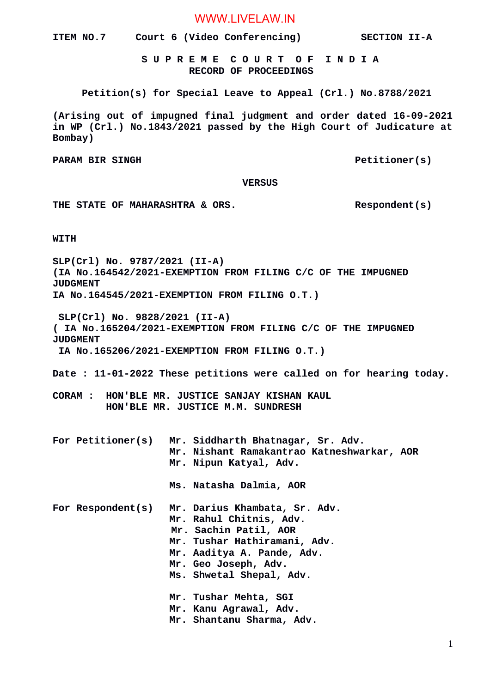WWW.LIVELAW.IN

**ITEM NO.7 Court 6 (Video Conferencing) SECTION II-A**

 **S U P R E M E C O U R T O F I N D I A RECORD OF PROCEEDINGS**

**Petition(s) for Special Leave to Appeal (Crl.) No.8788/2021**

**(Arising out of impugned final judgment and order dated 16-09-2021 in WP (Crl.) No.1843/2021 passed by the High Court of Judicature at Bombay)**

PARAM BIR SINGH **PARAM BIR SINGH** 

#### **VERSUS**

THE STATE OF MAHARASHTRA & ORS. Respondent(s)

**WITH**

**SLP(Crl) No. 9787/2021 (II-A) (IA No.164542/2021-EXEMPTION FROM FILING C/C OF THE IMPUGNED JUDGMENT IA No.164545/2021-EXEMPTION FROM FILING O.T.)**

 **SLP(Crl) No. 9828/2021 (II-A)**

**( IA No.165204/2021-EXEMPTION FROM FILING C/C OF THE IMPUGNED JUDGMENT** 

 **IA No.165206/2021-EXEMPTION FROM FILING O.T.)**

**Date : 11-01-2022 These petitions were called on for hearing today.**

**CORAM : HON'BLE MR. JUSTICE SANJAY KISHAN KAUL HON'BLE MR. JUSTICE M.M. SUNDRESH**

**For Petitioner(s) Mr. Siddharth Bhatnagar, Sr. Adv. Mr. Nishant Ramakantrao Katneshwarkar, AOR Mr. Nipun Katyal, Adv.**

 **Ms. Natasha Dalmia, AOR**

- **For Respondent(s) Mr. Darius Khambata, Sr. Adv. Mr. Rahul Chitnis, Adv. Mr. Sachin Patil, AOR Mr. Tushar Hathiramani, Adv. Mr. Aaditya A. Pande, Adv. Mr. Geo Joseph, Adv.**
	- **Ms. Shwetal Shepal, Adv.**
	- **Mr. Tushar Mehta, SGI Mr. Kanu Agrawal, Adv.**
	- **Mr. Shantanu Sharma, Adv.**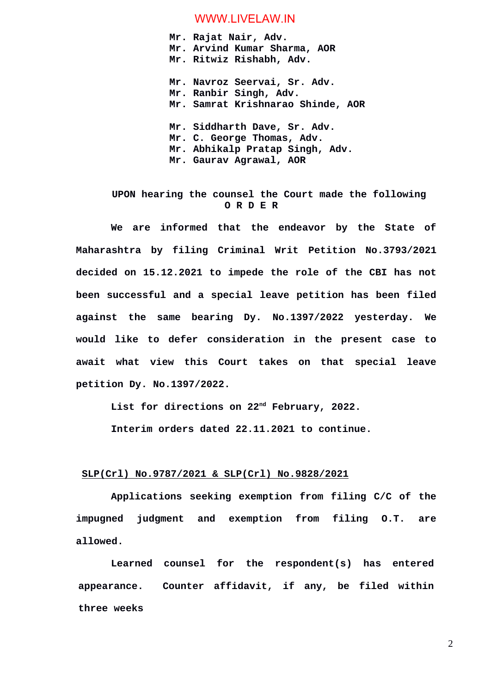### WWW.LIVELAW.IN

**Mr. Rajat Nair, Adv. Mr. Arvind Kumar Sharma, AOR Mr. Ritwiz Rishabh, Adv. Mr. Navroz Seervai, Sr. Adv. Mr. Ranbir Singh, Adv. Mr. Samrat Krishnarao Shinde, AOR Mr. Siddharth Dave, Sr. Adv. Mr. C. George Thomas, Adv. Mr. Abhikalp Pratap Singh, Adv. Mr. Gaurav Agrawal, AOR**

## **UPON hearing the counsel the Court made the following O R D E R**

**We are informed that the endeavor by the State of Maharashtra by filing Criminal Writ Petition No.3793/2021 decided on 15.12.2021 to impede the role of the CBI has not been successful and a special leave petition has been filed against the same bearing Dy. No.1397/2022 yesterday. We would like to defer consideration in the present case to await what view this Court takes on that special leave petition Dy. No.1397/2022.**

**List for directions on 22nd February, 2022.**

**Interim orders dated 22.11.2021 to continue.**

### **SLP(Crl) No.9787/2021 & SLP(Crl) No.9828/2021**

**Applications seeking exemption from filing C/C of the impugned judgment and exemption from filing O.T. are allowed.**

**Learned counsel for the respondent(s) has entered appearance. Counter affidavit, if any, be filed within three weeks**

2